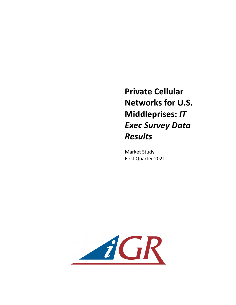**Private Cellular Networks for U.S. Middleprises: IT** *Exec Survey Data Results*

**Market Study** First Quarter 2021

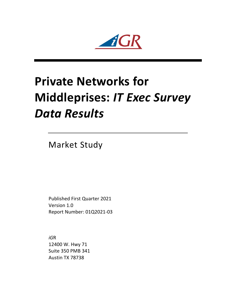$iGR$ 

## **Private Networks for Middleprises: IT Exec Survey** *Data Results*

**Market Study** 

Published First Quarter 2021 Version 1.0 Report Number: 01Q2021-03

*iG*R 12400 W. Hwy 71 Suite 350 PMB 341 Austin TX 78738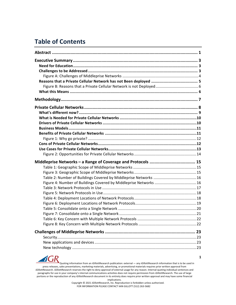## **Table of Contents**

 $\boldsymbol{d}$ (

 $\mathbf{R}$ 

Quoting information from an *iG*illottResearch publication: external — any *iGillottResearch* information that is to be used in press releases, sales presentations, marketing materials, advertising, or promotional materials requires prior written approval from *iGillottResearch. <i>iGillottResearch* reserves the right to deny approval of external usage for any reason. Internal-quoting individual sentences and paragraphs for use in your company's internal communications activities does not require permission from *iG*illottResearch. The use of large portions or the reproduction of any *iGillottResearch document* in its entirety does require prior written approval and may have some financial

implications.

Copyright © 2021 *iGillottResearch, Inc. Reproduction* is forbidden unless authorized. FOR INFORMATION PLEASE CONTACT IAIN GILLOTT (512) 263-5682

**1**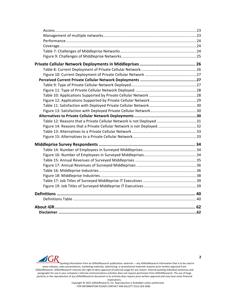| Table 12: Reasons that a Private Cellular Network is not Deployed 31  |  |
|-----------------------------------------------------------------------|--|
| Figure 14: Reasons that a Private Cellular Network is not Deployed 32 |  |
|                                                                       |  |
|                                                                       |  |
|                                                                       |  |
|                                                                       |  |
|                                                                       |  |
|                                                                       |  |
|                                                                       |  |
|                                                                       |  |
|                                                                       |  |
|                                                                       |  |
|                                                                       |  |
|                                                                       |  |
|                                                                       |  |
|                                                                       |  |
|                                                                       |  |



Quoting information from an *iGillottResearch publication:* external — any *iGillottResearch* information that is to be used in press releases, sales presentations, marketing materials, advertising, or promotional materials requires prior written approval from *iGillottResearch. <i>iGillottResearch* reserves the right to deny approval of external usage for any reason. Internal-quoting individual sentences and paragraphs for use in your company's internal communications activities does not require permission from *iGillottResearch*. The use of large portions or the reproduction of any *iGillottResearch document* in its entirety does require prior written approval and may have some financial implications.

Copyright © 2021 *iG*illottResearch, Inc. Reproduction is forbidden unless authorized. FOR INFORMATION PLEASE CONTACT IAIN GILLOTT (512) 263-5682

**2**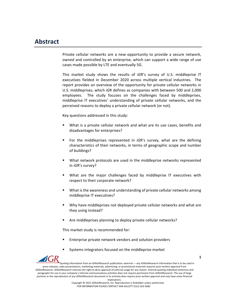## **Abstract**

Private cellular networks are a new opportunity to provide a secure network, owned and controlled by an enterprise, which can support a wide range of use cases made possible by LTE and eventually 5G.

This market study shows the results of *iGR's* survey of U.S. middleprise IT executives fielded in December 2020 across multiple vertical industries. The report provides an overview of the opportunity for private cellular networks in U.S. middleprises, which *iGR* defines as companies with between 500 and 2,000 employees. The study focuses on the challenges faced by middleprises, middleprise IT executives' understanding of private cellular networks, and the perceived reasons to deploy a private cellular network (or not).

Key questions addressed in this study:

- What is a private cellular network and what are its use cases, benefits and disadvantages for enterprises?
- For the middleprises represented in *iGR's* survey, what are the defining characteristics of their networks, in terms of geographic scope and number of buildings?
- What network protocols are used in the middleprise networks represented in *iGR's* survey?
- What are the major challenges faced by middleprise IT executives with respect to their corporate network?
- What is the awareness and understanding of private cellular networks among middleprise IT executives?
- Why have middleprises not deployed private cellular networks and what are they using instead?

**1**

Are middleprises planning to deploy private cellular networks?

This market study is recommended for:

- Enterprise private network vendors and solution providers
- Systems integrators focused on the middleprise market

Quoting information from an *iG*illottResearch publication: external — any *iGillottResearch* information that is to be used in press releases, sales presentations, marketing materials, advertising, or promotional materials requires prior written approval from *iGillottResearch. <i>iGillottResearch* reserves the right to deny approval of external usage for any reason. Internal-quoting individual sentences and paragraphs for use in your company's internal communications activities does not require permission from *iGillottResearch*. The use of large portions or the reproduction of any *iGillottResearch document* in its entirety does require prior written approval and may have some financial